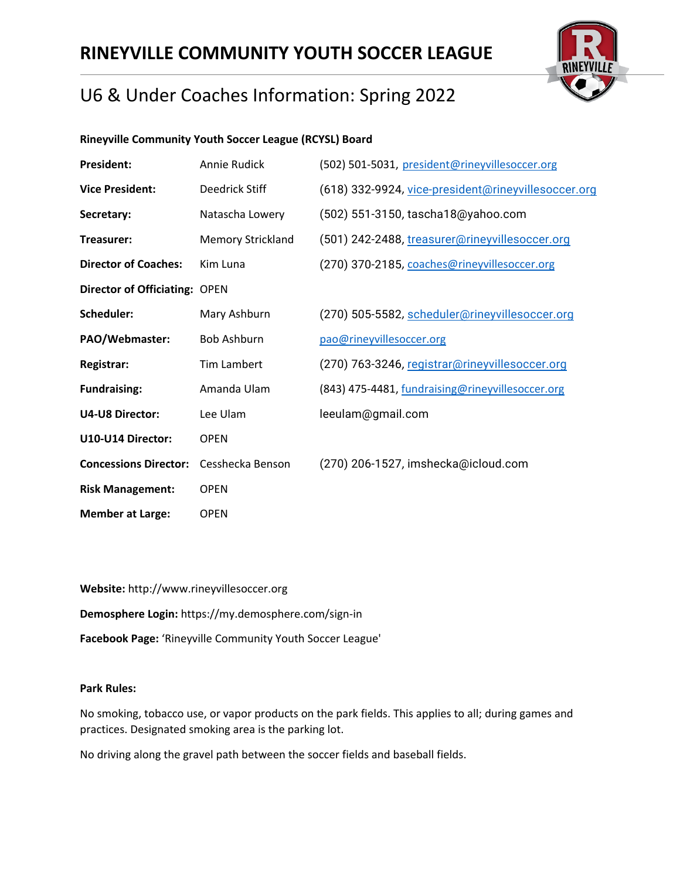## **RINEYVILLE COMMUNITY YOUTH SOCCER LEAGUE**



## U6 & Under Coaches Information: Spring 2022

### **Rineyville Community Youth Soccer League (RCYSL) Board**

**Website:** http://www.rineyvillesoccer.org **Demosphere Login:** https://my.demosphere.com/sign-in **Facebook Page:** 'Rineyville Community Youth Soccer League'

#### **Park Rules:**

No smoking, tobacco use, or vapor products on the park fields. This applies to all; during games and practices. Designated smoking area is the parking lot.

No driving along the gravel path between the soccer fields and baseball fields.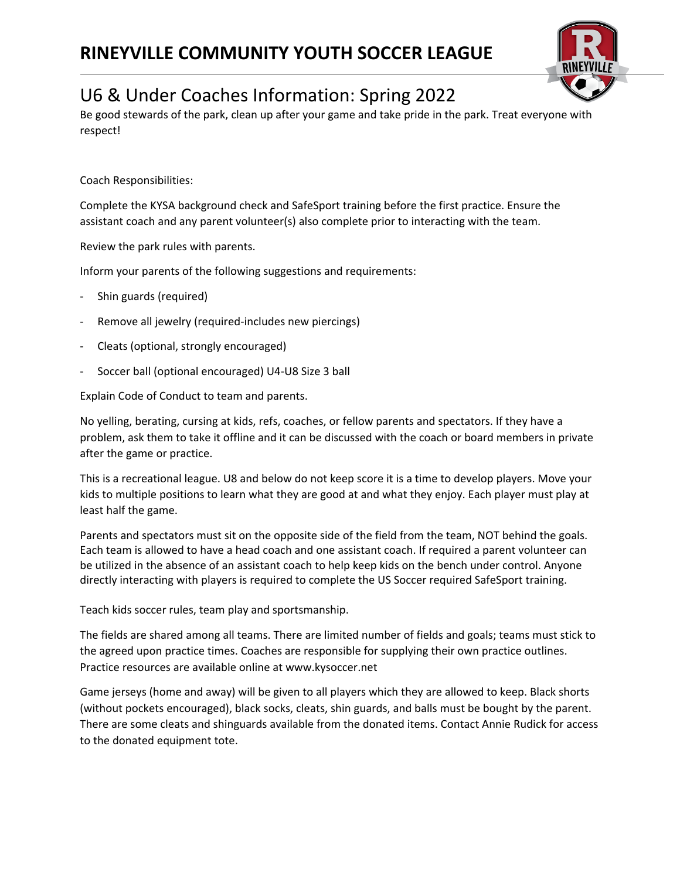

Be good stewards of the park, clean up after your game and take pride in the park. Treat everyone with respect!

Coach Responsibilities:

Complete the KYSA background check and SafeSport training before the first practice. Ensure the assistant coach and any parent volunteer(s) also complete prior to interacting with the team.

Review the park rules with parents.

Inform your parents of the following suggestions and requirements:

- Shin guards (required)
- Remove all jewelry (required-includes new piercings)
- Cleats (optional, strongly encouraged)
- Soccer ball (optional encouraged) U4-U8 Size 3 ball

Explain Code of Conduct to team and parents.

No yelling, berating, cursing at kids, refs, coaches, or fellow parents and spectators. If they have a problem, ask them to take it offline and it can be discussed with the coach or board members in private after the game or practice.

This is a recreational league. U8 and below do not keep score it is a time to develop players. Move your kids to multiple positions to learn what they are good at and what they enjoy. Each player must play at least half the game.

Parents and spectators must sit on the opposite side of the field from the team, NOT behind the goals. Each team is allowed to have a head coach and one assistant coach. If required a parent volunteer can be utilized in the absence of an assistant coach to help keep kids on the bench under control. Anyone directly interacting with players is required to complete the US Soccer required SafeSport training.

Teach kids soccer rules, team play and sportsmanship.

The fields are shared among all teams. There are limited number of fields and goals; teams must stick to the agreed upon practice times. Coaches are responsible for supplying their own practice outlines. Practice resources are available online at www.kysoccer.net

Game jerseys (home and away) will be given to all players which they are allowed to keep. Black shorts (without pockets encouraged), black socks, cleats, shin guards, and balls must be bought by the parent. There are some cleats and shinguards available from the donated items. Contact Annie Rudick for access to the donated equipment tote.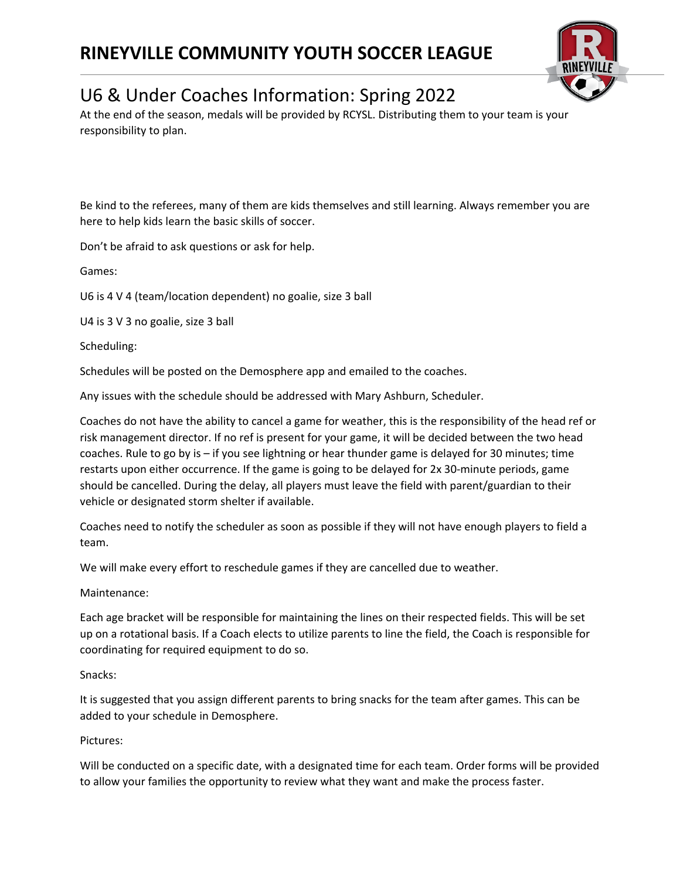

At the end of the season, medals will be provided by RCYSL. Distributing them to your team is your responsibility to plan.

Be kind to the referees, many of them are kids themselves and still learning. Always remember you are here to help kids learn the basic skills of soccer.

Don't be afraid to ask questions or ask for help.

Games:

U6 is 4 V 4 (team/location dependent) no goalie, size 3 ball

U4 is 3 V 3 no goalie, size 3 ball

Scheduling:

Schedules will be posted on the Demosphere app and emailed to the coaches.

Any issues with the schedule should be addressed with Mary Ashburn, Scheduler.

Coaches do not have the ability to cancel a game for weather, this is the responsibility of the head ref or risk management director. If no ref is present for your game, it will be decided between the two head coaches. Rule to go by is – if you see lightning or hear thunder game is delayed for 30 minutes; time restarts upon either occurrence. If the game is going to be delayed for 2x 30-minute periods, game should be cancelled. During the delay, all players must leave the field with parent/guardian to their vehicle or designated storm shelter if available.

Coaches need to notify the scheduler as soon as possible if they will not have enough players to field a team.

We will make every effort to reschedule games if they are cancelled due to weather.

Maintenance:

Each age bracket will be responsible for maintaining the lines on their respected fields. This will be set up on a rotational basis. If a Coach elects to utilize parents to line the field, the Coach is responsible for coordinating for required equipment to do so.

#### Snacks:

It is suggested that you assign different parents to bring snacks for the team after games. This can be added to your schedule in Demosphere.

#### Pictures:

Will be conducted on a specific date, with a designated time for each team. Order forms will be provided to allow your families the opportunity to review what they want and make the process faster.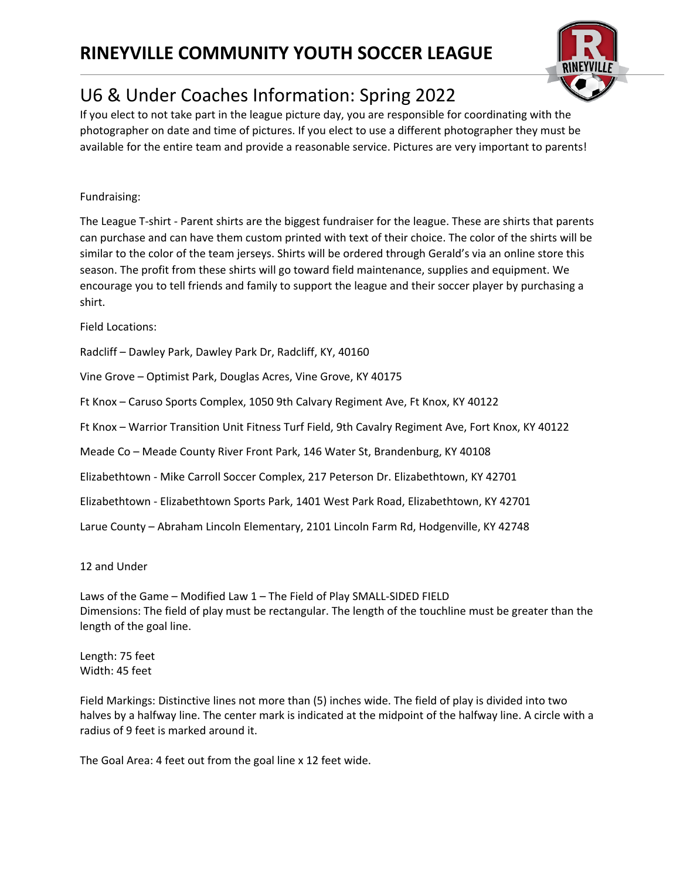

If you elect to not take part in the league picture day, you are responsible for coordinating with the photographer on date and time of pictures. If you elect to use a different photographer they must be available for the entire team and provide a reasonable service. Pictures are very important to parents!

### Fundraising:

The League T-shirt - Parent shirts are the biggest fundraiser for the league. These are shirts that parents can purchase and can have them custom printed with text of their choice. The color of the shirts will be similar to the color of the team jerseys. Shirts will be ordered through Gerald's via an online store this season. The profit from these shirts will go toward field maintenance, supplies and equipment. We encourage you to tell friends and family to support the league and their soccer player by purchasing a shirt.

Field Locations:

Radcliff – Dawley Park, Dawley Park Dr, Radcliff, KY, 40160

Vine Grove – Optimist Park, Douglas Acres, Vine Grove, KY 40175

Ft Knox – Caruso Sports Complex, 1050 9th Calvary Regiment Ave, Ft Knox, KY 40122

Ft Knox – Warrior Transition Unit Fitness Turf Field, 9th Cavalry Regiment Ave, Fort Knox, KY 40122

Meade Co – Meade County River Front Park, 146 Water St, Brandenburg, KY 40108

Elizabethtown - Mike Carroll Soccer Complex, 217 Peterson Dr. Elizabethtown, KY 42701

Elizabethtown - Elizabethtown Sports Park, 1401 West Park Road, Elizabethtown, KY 42701

Larue County – Abraham Lincoln Elementary, 2101 Lincoln Farm Rd, Hodgenville, KY 42748

12 and Under

Laws of the Game – Modified Law 1 – The Field of Play SMALL-SIDED FIELD Dimensions: The field of play must be rectangular. The length of the touchline must be greater than the length of the goal line.

Length: 75 feet Width: 45 feet

Field Markings: Distinctive lines not more than (5) inches wide. The field of play is divided into two halves by a halfway line. The center mark is indicated at the midpoint of the halfway line. A circle with a radius of 9 feet is marked around it.

The Goal Area: 4 feet out from the goal line x 12 feet wide.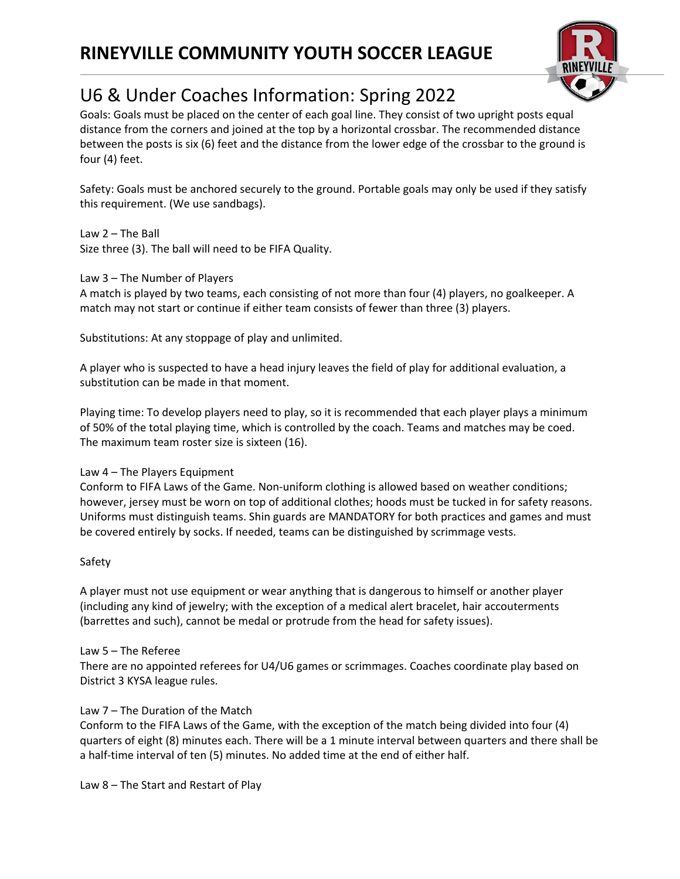

Goals: Goals must be placed on the center of each goal line. They consist of two upright posts equal distance from the corners and joined at the top by a horizontal crossbar. The recommended distance between the posts is six (6) feet and the distance from the lower edge of the crossbar to the ground is four (4) feet.

Safety: Goals must be anchored securely to the ground. Portable goals may only be used if they satisfy this requirement. (We use sandbags).

Law 2 – The Ball Size three (3). The ball will need to be FIFA Quality.

#### Law 3 – The Number of Players

A match is played by two teams, each consisting of not more than four (4) players, no goalkeeper. A match may not start or continue if either team consists of fewer than three (3) players.

Substitutions: At any stoppage of play and unlimited.

A player who is suspected to have a head injury leaves the field of play for additional evaluation, a substitution can be made in that moment.

Playing time: To develop players need to play, so it is recommended that each player plays a minimum of 50% of the total playing time, which is controlled by the coach. Teams and matches may be coed. The maximum team roster size is sixteen (16).

#### Law 4 – The Players Equipment

Conform to FIFA Laws of the Game. Non-uniform clothing is allowed based on weather conditions; however, jersey must be worn on top of additional clothes; hoods must be tucked in for safety reasons. Uniforms must distinguish teams. Shin guards are MANDATORY for both practices and games and must be covered entirely by socks. If needed, teams can be distinguished by scrimmage vests.

#### Safety

A player must not use equipment or wear anything that is dangerous to himself or another player (including any kind of jewelry; with the exception of a medical alert bracelet, hair accouterments (barrettes and such), cannot be medal or protrude from the head for safety issues).

#### Law 5 – The Referee

There are no appointed referees for U4/U6 games or scrimmages. Coaches coordinate play based on District 3 KYSA league rules.

### Law 7 – The Duration of the Match

Conform to the FIFA Laws of the Game, with the exception of the match being divided into four (4) quarters of eight (8) minutes each. There will be a 1 minute interval between quarters and there shall be a half-time interval of ten (5) minutes. No added time at the end of either half.

Law 8 – The Start and Restart of Play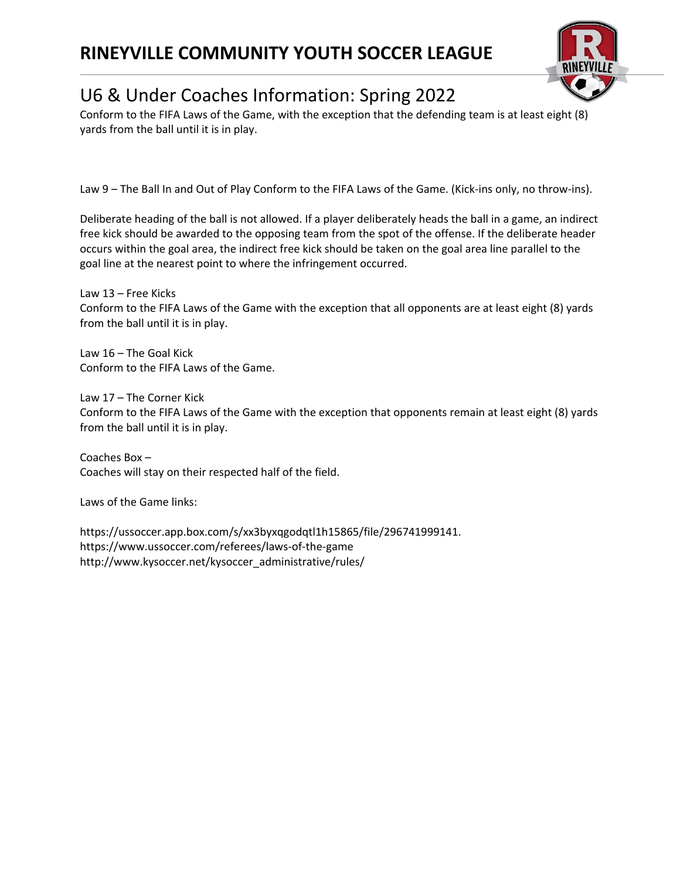### **RINEYVILLE COMMUNITY YOUTH SOCCER LEAGUE**



## U6 & Under Coaches Information: Spring 2022

Conform to the FIFA Laws of the Game, with the exception that the defending team is at least eight (8) yards from the ball until it is in play.

Law 9 – The Ball In and Out of Play Conform to the FIFA Laws of the Game. (Kick-ins only, no throw-ins).

Deliberate heading of the ball is not allowed. If a player deliberately heads the ball in a game, an indirect free kick should be awarded to the opposing team from the spot of the offense. If the deliberate header occurs within the goal area, the indirect free kick should be taken on the goal area line parallel to the goal line at the nearest point to where the infringement occurred.

Law 13 – Free Kicks Conform to the FIFA Laws of the Game with the exception that all opponents are at least eight (8) yards from the ball until it is in play.

Law 16 – The Goal Kick Conform to the FIFA Laws of the Game.

Law 17 – The Corner Kick Conform to the FIFA Laws of the Game with the exception that opponents remain at least eight (8) yards from the ball until it is in play.

Coaches Box – Coaches will stay on their respected half of the field.

Laws of the Game links:

https://ussoccer.app.box.com/s/xx3byxqgodqtl1h15865/file/296741999141. https://www.ussoccer.com/referees/laws-of-the-game http://www.kysoccer.net/kysoccer\_administrative/rules/